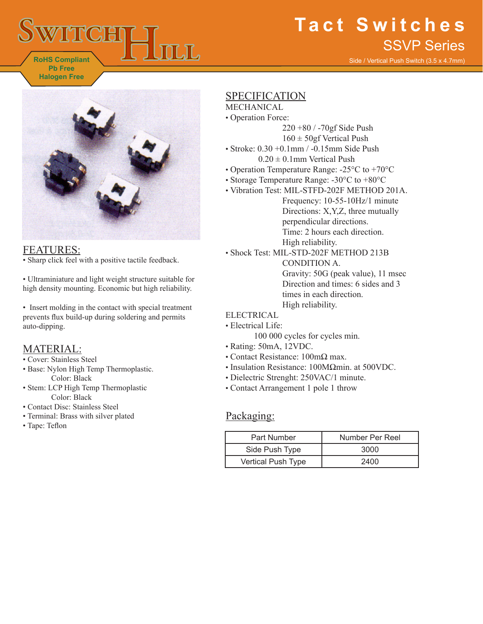

# **Tact Switches** SSVP Series

Side / Vertical Push Switch (3.5 x 4.7mm)



# FEATURES:

• Sharp click feel with a positive tactile feedback.

• Ultraminiature and light weight structure suitable for high density mounting. Economic but high reliability.

• Insert molding in the contact with special treatment prevents flux build-up during soldering and permits auto-dipping.

### MATERIAL:

- Cover: Stainless Steel
- Base: Nylon High Temp Thermoplastic. Color: Black
- Stem: LCP High Temp Thermoplastic Color: Black
- Contact Disc: Stainless Steel
- Terminal: Brass with silver plated
- Tape: Teflon

# SPECIFICATION

- MECHANICAL
- Operation Force:
	- 220 +80 / -70gf Side Push  $160 \pm 50$ gf Vertical Push
- Stroke:  $0.30 + 0.1$ mm /  $-0.15$ mm Side Push  $0.20 \pm 0.1$ mm Vertical Push
- Operation Temperature Range: -25°C to +70°C
- Storage Temperature Range: -30°C to +80°C
- Vibration Test: MIL-STFD-202F METHOD 201A. Frequency: 10-55-10Hz/1 minute Directions: X,Y,Z, three mutually perpendicular directions. Time: 2 hours each direction. High reliability.
- Shock Test: MIL-STD-202F METHOD 213B CONDITION A. Gravity: 50G (peak value), 11 msec Direction and times: 6 sides and 3 times in each direction. High reliability.

#### ELECTRICAL

- Electrical Life:
	- 100 000 cycles for cycles min.
- Rating: 50mA, 12VDC.
- Contact Resistance: 100mΩ max.
- Insulation Resistance: 100MΩmin. at 500VDC.
- Dielectric Strenght: 250VAC/1 minute.
- Contact Arrangement 1 pole 1 throw

### Packaging:

| Part Number        | Number Per Reel |
|--------------------|-----------------|
| Side Push Type     | 3000            |
| Vertical Push Type | 2400            |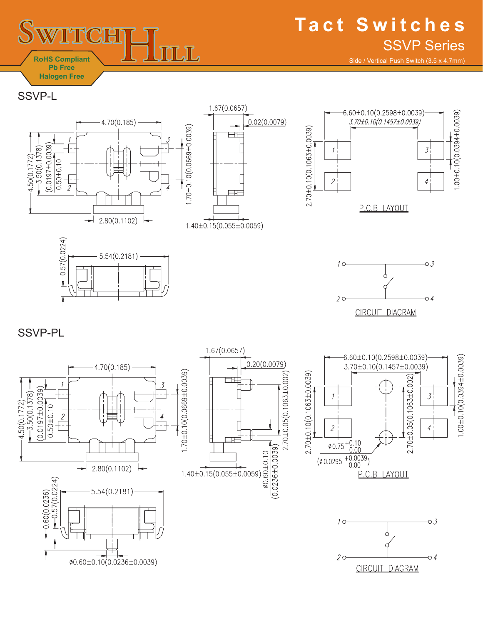

Side / Vertical Push Switch (3.5 x 4.7mm)

SSVP-L

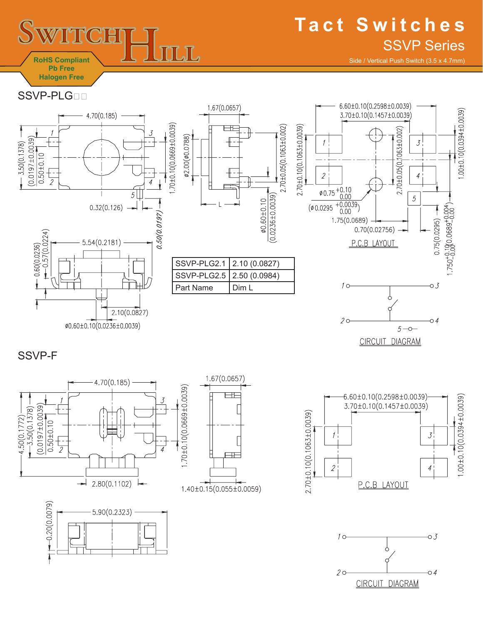

# **Tact Switches** SSVP Series

Side / Vertical Push Switch (3.5 x 4.7mm)

SSVP-PLG<sub>DD</sub>



SSVP-F









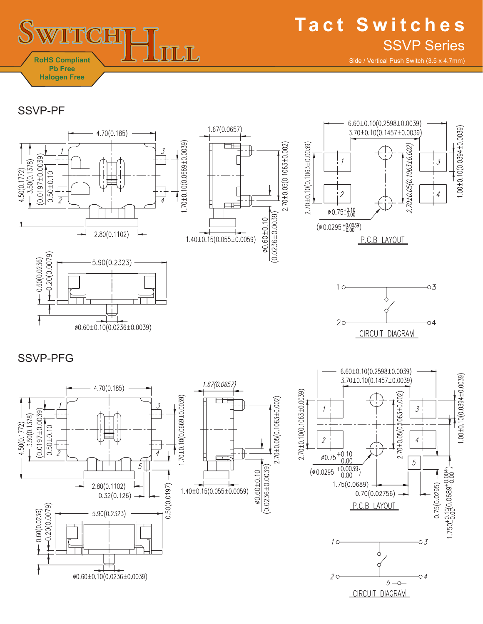

Side / Vertical Push Switch (3.5 x 4.7mm)

SSVP-PF